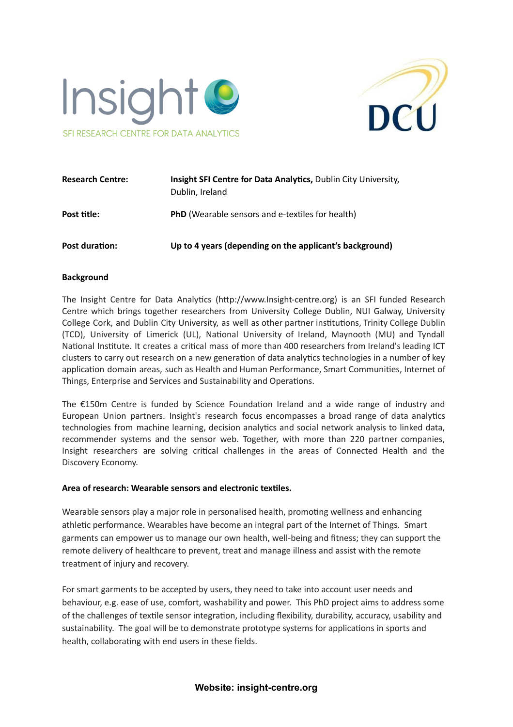



| <b>Research Centre:</b> | Insight SFI Centre for Data Analytics, Dublin City University,<br>Dublin, Ireland |
|-------------------------|-----------------------------------------------------------------------------------|
| Post title:             | <b>PhD</b> (Wearable sensors and e-textiles for health)                           |
| Post duration:          | Up to 4 years (depending on the applicant's background)                           |

#### **Background**

The Insight Centre for Data Analytics (http://www.Insight-centre.org) is an SFI funded Research Centre which brings together researchers from University College Dublin, NUI Galway, University College Cork, and Dublin City University, as well as other partner institutions, Trinity College Dublin (TCD), University of Limerick (UL), National University of Ireland, Maynooth (MU) and Tyndall National Institute. It creates a critical mass of more than 400 researchers from Ireland's leading ICT clusters to carry out research on a new generation of data analytics technologies in a number of key application domain areas, such as Health and Human Performance, Smart Communities, Internet of Things, Enterprise and Services and Sustainability and Operations.

The  $£150m$  Centre is funded by Science Foundation Ireland and a wide range of industry and European Union partners. Insight's research focus encompasses a broad range of data analytics technologies from machine learning, decision analytics and social network analysis to linked data, recommender systems and the sensor web. Together, with more than 220 partner companies, Insight researchers are solving critical challenges in the areas of Connected Health and the Discovery Economy.

#### **Area of research: Wearable sensors and electronic texles.**

Wearable sensors play a major role in personalised health, promoting wellness and enhancing athletic performance. Wearables have become an integral part of the Internet of Things. Smart garments can empower us to manage our own health, well-being and fitness; they can support the remote delivery of healthcare to prevent, treat and manage illness and assist with the remote treatment of injury and recovery.

For smart garments to be accepted by users, they need to take into account user needs and behaviour, e.g. ease of use, comfort, washability and power. This PhD project aims to address some of the challenges of textile sensor integration, including flexibility, durability, accuracy, usability and sustainability. The goal will be to demonstrate prototype systems for applications in sports and health, collaborating with end users in these fields.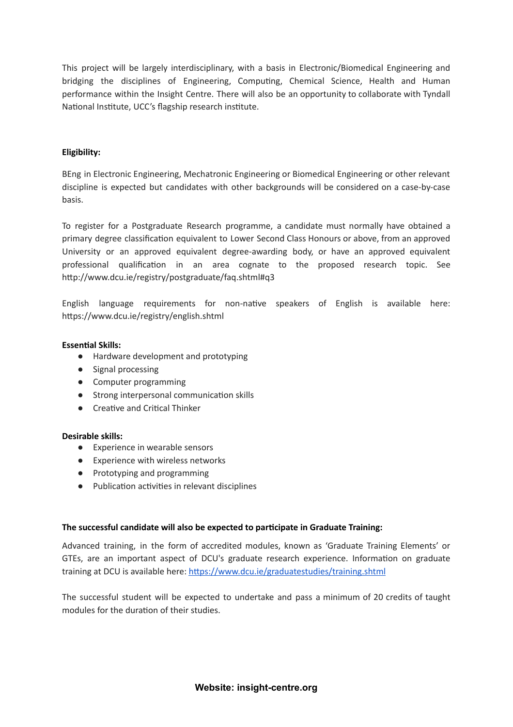This project will be largely interdisciplinary, with a basis in Electronic/Biomedical Engineering and bridging the disciplines of Engineering, Computing, Chemical Science, Health and Human performance within the Insight Centre. There will also be an opportunity to collaborate with Tyndall National Institute, UCC's flagship research institute.

### **Eligibility:**

BEng in Electronic Engineering, Mechatronic Engineering or Biomedical Engineering or other relevant discipline is expected but candidates with other backgrounds will be considered on a case-by-case basis.

To register for a Postgraduate Research programme, a candidate must normally have obtained a primary degree classification equivalent to Lower Second Class Honours or above, from an approved University or an approved equivalent degree-awarding body, or have an approved equivalent professional qualification in an area cognate to the proposed research topic. See http://www.dcu.ie/registry/postgraduate/faq.shtml#q3

English language requirements for non-native speakers of English is available here: https://www.dcu.ie/registry/english.shtml

#### **Essential Skills:**

- Hardware development and prototyping
- Signal processing
- Computer programming
- Strong interpersonal communication skills
- Creative and Critical Thinker

#### **Desirable skills:**

- Experience in wearable sensors
- Experience with wireless networks
- Prototyping and programming
- Publication activities in relevant disciplines

#### **The successful candidate will also be expected to parcipate in Graduate Training:**

Advanced training, in the form of accredited modules, known as 'Graduate Training Elements' or GTEs, are an important aspect of DCU's graduate research experience. Information on graduate training at DCU is available here: https://www.dcu.ie/graduatestudies/training.shtml

The successful student will be expected to undertake and pass a minimum of 20 credits of taught modules for the duration of their studies.